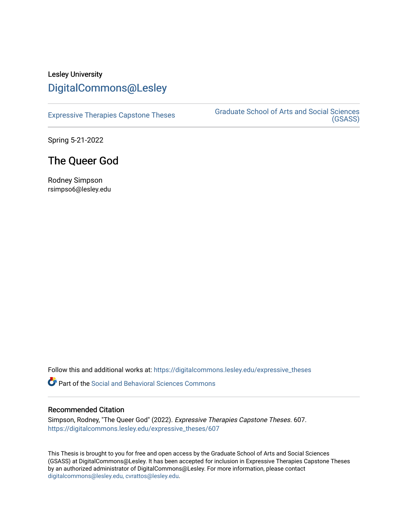# Lesley University [DigitalCommons@Lesley](https://digitalcommons.lesley.edu/)

[Expressive Therapies Capstone Theses](https://digitalcommons.lesley.edu/expressive_theses) Graduate School of Arts and Social Sciences [\(GSASS\)](https://digitalcommons.lesley.edu/gsass) 

Spring 5-21-2022

## The Queer God

Rodney Simpson rsimpso6@lesley.edu

Follow this and additional works at: [https://digitalcommons.lesley.edu/expressive\\_theses](https://digitalcommons.lesley.edu/expressive_theses?utm_source=digitalcommons.lesley.edu%2Fexpressive_theses%2F607&utm_medium=PDF&utm_campaign=PDFCoverPages)

**P** Part of the Social and Behavioral Sciences Commons

## Recommended Citation

Simpson, Rodney, "The Queer God" (2022). Expressive Therapies Capstone Theses. 607. [https://digitalcommons.lesley.edu/expressive\\_theses/607](https://digitalcommons.lesley.edu/expressive_theses/607?utm_source=digitalcommons.lesley.edu%2Fexpressive_theses%2F607&utm_medium=PDF&utm_campaign=PDFCoverPages)

This Thesis is brought to you for free and open access by the Graduate School of Arts and Social Sciences (GSASS) at DigitalCommons@Lesley. It has been accepted for inclusion in Expressive Therapies Capstone Theses by an authorized administrator of DigitalCommons@Lesley. For more information, please contact [digitalcommons@lesley.edu, cvrattos@lesley.edu](mailto:digitalcommons@lesley.edu,%20cvrattos@lesley.edu).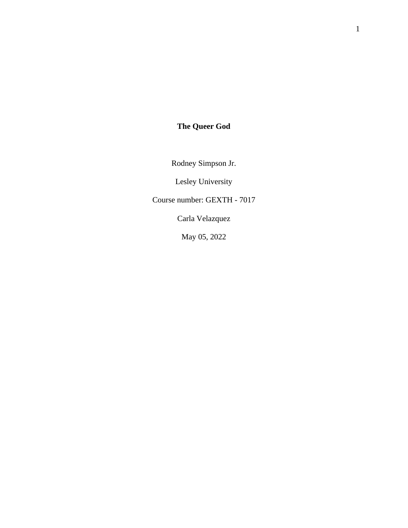# **The Queer God**

Rodney Simpson Jr.

Lesley University

Course number: GEXTH - 7017

Carla Velazquez

May 05, 2022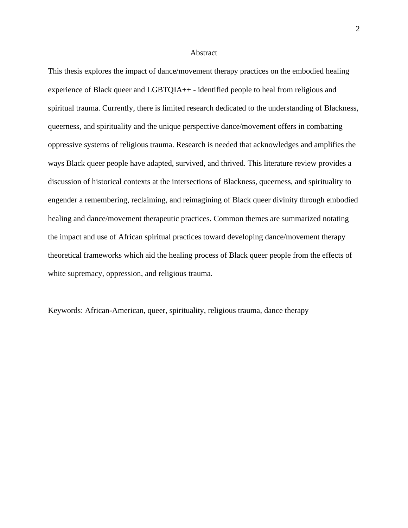#### **Abstract**

This thesis explores the impact of dance/movement therapy practices on the embodied healing experience of Black queer and LGBTQIA++ - identified people to heal from religious and spiritual trauma. Currently, there is limited research dedicated to the understanding of Blackness, queerness, and spirituality and the unique perspective dance/movement offers in combatting oppressive systems of religious trauma. Research is needed that acknowledges and amplifies the ways Black queer people have adapted, survived, and thrived. This literature review provides a discussion of historical contexts at the intersections of Blackness, queerness, and spirituality to engender a remembering, reclaiming, and reimagining of Black queer divinity through embodied healing and dance/movement therapeutic practices. Common themes are summarized notating the impact and use of African spiritual practices toward developing dance/movement therapy theoretical frameworks which aid the healing process of Black queer people from the effects of white supremacy, oppression, and religious trauma.

Keywords: African-American, queer, spirituality, religious trauma, dance therapy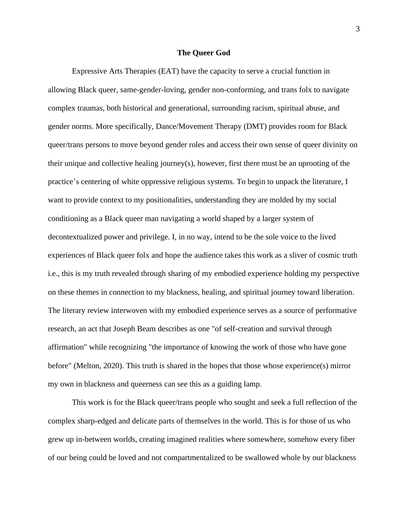#### **The Queer God**

Expressive Arts Therapies (EAT) have the capacity to serve a crucial function in allowing Black queer, same-gender-loving, gender non-conforming, and trans folx to navigate complex traumas, both historical and generational, surrounding racism, spiritual abuse, and gender norms. More specifically, Dance/Movement Therapy (DMT) provides room for Black queer/trans persons to move beyond gender roles and access their own sense of queer divinity on their unique and collective healing journey(s), however, first there must be an uprooting of the practice's centering of white oppressive religious systems. To begin to unpack the literature, I want to provide context to my positionalities, understanding they are molded by my social conditioning as a Black queer man navigating a world shaped by a larger system of decontextualized power and privilege. I, in no way, intend to be the sole voice to the lived experiences of Black queer folx and hope the audience takes this work as a sliver of cosmic truth i.e., this is my truth revealed through sharing of my embodied experience holding my perspective on these themes in connection to my blackness, healing, and spiritual journey toward liberation. The literary review interwoven with my embodied experience serves as a source of performative research, an act that Joseph Beam describes as one "of self-creation and survival through affirmation" while recognizing "the importance of knowing the work of those who have gone before" (Melton, 2020). This truth is shared in the hopes that those whose experience(s) mirror my own in blackness and queerness can see this as a guiding lamp.

This work is for the Black queer/trans people who sought and seek a full reflection of the complex sharp-edged and delicate parts of themselves in the world. This is for those of us who grew up in-between worlds, creating imagined realities where somewhere, somehow every fiber of our being could be loved and not compartmentalized to be swallowed whole by our blackness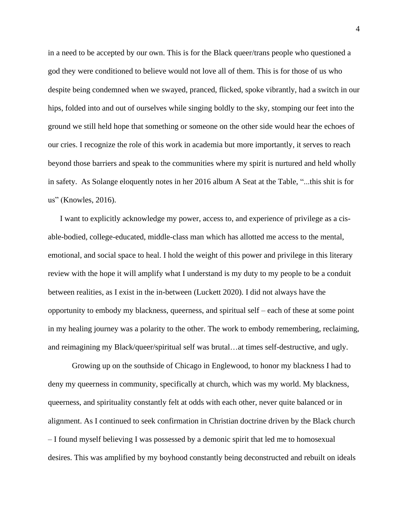in a need to be accepted by our own. This is for the Black queer/trans people who questioned a god they were conditioned to believe would not love all of them. This is for those of us who despite being condemned when we swayed, pranced, flicked, spoke vibrantly, had a switch in our hips, folded into and out of ourselves while singing boldly to the sky, stomping our feet into the ground we still held hope that something or someone on the other side would hear the echoes of our cries. I recognize the role of this work in academia but more importantly, it serves to reach beyond those barriers and speak to the communities where my spirit is nurtured and held wholly in safety. As Solange eloquently notes in her 2016 album A Seat at the Table, "...this shit is for us" (Knowles, 2016).

I want to explicitly acknowledge my power, access to, and experience of privilege as a cisable-bodied, college-educated, middle-class man which has allotted me access to the mental, emotional, and social space to heal. I hold the weight of this power and privilege in this literary review with the hope it will amplify what I understand is my duty to my people to be a conduit between realities, as I exist in the in-between (Luckett 2020). I did not always have the opportunity to embody my blackness, queerness, and spiritual self – each of these at some point in my healing journey was a polarity to the other. The work to embody remembering, reclaiming, and reimagining my Black/queer/spiritual self was brutal…at times self-destructive, and ugly.

Growing up on the southside of Chicago in Englewood, to honor my blackness I had to deny my queerness in community, specifically at church, which was my world. My blackness, queerness, and spirituality constantly felt at odds with each other, never quite balanced or in alignment. As I continued to seek confirmation in Christian doctrine driven by the Black church – I found myself believing I was possessed by a demonic spirit that led me to homosexual desires. This was amplified by my boyhood constantly being deconstructed and rebuilt on ideals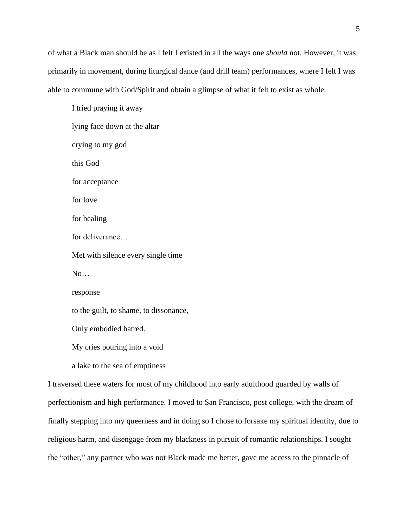of what a Black man should be as I felt I existed in all the ways one *should* not. However, it was primarily in movement, during liturgical dance (and drill team) performances, where I felt I was able to commune with God/Spirit and obtain a glimpse of what it felt to exist as whole.

I tried praying it away lying face down at the altar crying to my god this God for acceptance for love for healing for deliverance… Met with silence every single time No… response to the guilt, to shame, to dissonance, Only embodied hatred. My cries pouring into a void a lake to the sea of emptiness

I traversed these waters for most of my childhood into early adulthood guarded by walls of perfectionism and high performance. I moved to San Francisco, post college, with the dream of finally stepping into my queerness and in doing so I chose to forsake my spiritual identity, due to religious harm, and disengage from my blackness in pursuit of romantic relationships. I sought the "other," any partner who was not Black made me better, gave me access to the pinnacle of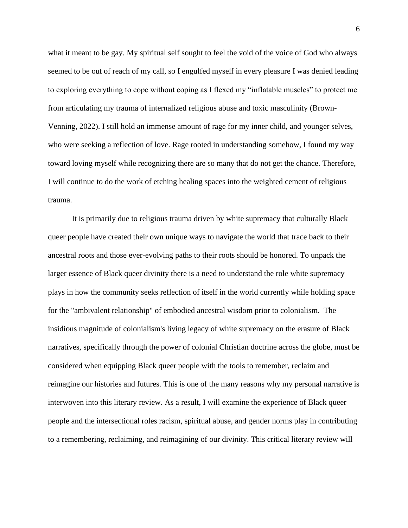what it meant to be gay. My spiritual self sought to feel the void of the voice of God who always seemed to be out of reach of my call, so I engulfed myself in every pleasure I was denied leading to exploring everything to cope without coping as I flexed my "inflatable muscles" to protect me from articulating my trauma of internalized religious abuse and toxic masculinity (Brown-Venning, 2022). I still hold an immense amount of rage for my inner child, and younger selves, who were seeking a reflection of love. Rage rooted in understanding somehow, I found my way toward loving myself while recognizing there are so many that do not get the chance. Therefore, I will continue to do the work of etching healing spaces into the weighted cement of religious trauma.

It is primarily due to religious trauma driven by white supremacy that culturally Black queer people have created their own unique ways to navigate the world that trace back to their ancestral roots and those ever-evolving paths to their roots should be honored. To unpack the larger essence of Black queer divinity there is a need to understand the role white supremacy plays in how the community seeks reflection of itself in the world currently while holding space for the "ambivalent relationship" of embodied ancestral wisdom prior to colonialism. The insidious magnitude of colonialism's living legacy of white supremacy on the erasure of Black narratives, specifically through the power of colonial Christian doctrine across the globe, must be considered when equipping Black queer people with the tools to remember, reclaim and reimagine our histories and futures. This is one of the many reasons why my personal narrative is interwoven into this literary review. As a result, I will examine the experience of Black queer people and the intersectional roles racism, spiritual abuse, and gender norms play in contributing to a remembering, reclaiming, and reimagining of our divinity. This critical literary review will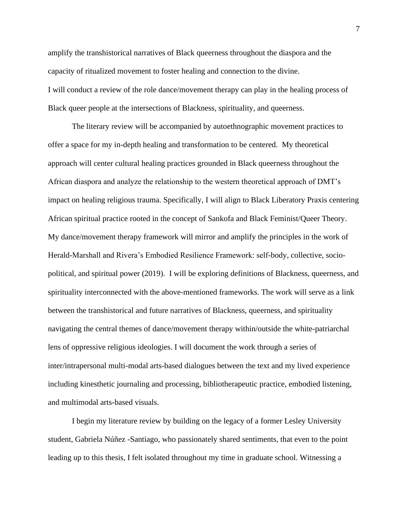amplify the transhistorical narratives of Black queerness throughout the diaspora and the capacity of ritualized movement to foster healing and connection to the divine. I will conduct a review of the role dance/movement therapy can play in the healing process of Black queer people at the intersections of Blackness, spirituality, and queerness.

The literary review will be accompanied by autoethnographic movement practices to offer a space for my in-depth healing and transformation to be centered. My theoretical approach will center cultural healing practices grounded in Black queerness throughout the African diaspora and analyze the relationship to the western theoretical approach of DMT's impact on healing religious trauma. Specifically, I will align to Black Liberatory Praxis centering African spiritual practice rooted in the concept of Sankofa and Black Feminist/Queer Theory. My dance/movement therapy framework will mirror and amplify the principles in the work of Herald-Marshall and Rivera's Embodied Resilience Framework: self-body, collective, sociopolitical, and spiritual power (2019). I will be exploring definitions of Blackness, queerness, and spirituality interconnected with the above-mentioned frameworks. The work will serve as a link between the transhistorical and future narratives of Blackness, queerness, and spirituality navigating the central themes of dance/movement therapy within/outside the white-patriarchal lens of oppressive religious ideologies. I will document the work through a series of inter/intrapersonal multi-modal arts-based dialogues between the text and my lived experience including kinesthetic journaling and processing, bibliotherapeutic practice, embodied listening, and multimodal arts-based visuals.

I begin my literature review by building on the legacy of a former Lesley University student, Gabriela Núñez -Santiago, who passionately shared sentiments, that even to the point leading up to this thesis, I felt isolated throughout my time in graduate school. Witnessing a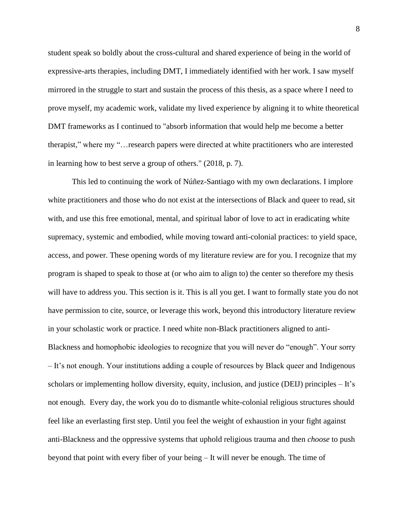student speak so boldly about the cross-cultural and shared experience of being in the world of expressive-arts therapies, including DMT, I immediately identified with her work. I saw myself mirrored in the struggle to start and sustain the process of this thesis, as a space where I need to prove myself, my academic work, validate my lived experience by aligning it to white theoretical DMT frameworks as I continued to "absorb information that would help me become a better therapist," where my "…research papers were directed at white practitioners who are interested in learning how to best serve a group of others." (2018, p. 7).

This led to continuing the work of Núñez-Santiago with my own declarations. I implore white practitioners and those who do not exist at the intersections of Black and queer to read, sit with, and use this free emotional, mental, and spiritual labor of love to act in eradicating white supremacy, systemic and embodied, while moving toward anti-colonial practices: to yield space, access, and power. These opening words of my literature review are for you. I recognize that my program is shaped to speak to those at (or who aim to align to) the center so therefore my thesis will have to address you. This section is it. This is all you get. I want to formally state you do not have permission to cite, source, or leverage this work, beyond this introductory literature review in your scholastic work or practice. I need white non-Black practitioners aligned to anti-Blackness and homophobic ideologies to recognize that you will never do "enough". Your sorry – It's not enough. Your institutions adding a couple of resources by Black queer and Indigenous scholars or implementing hollow diversity, equity, inclusion, and justice (DEIJ) principles – It's not enough. Every day, the work you do to dismantle white-colonial religious structures should feel like an everlasting first step. Until you feel the weight of exhaustion in your fight against anti-Blackness and the oppressive systems that uphold religious trauma and then *choose* to push beyond that point with every fiber of your being – It will never be enough. The time of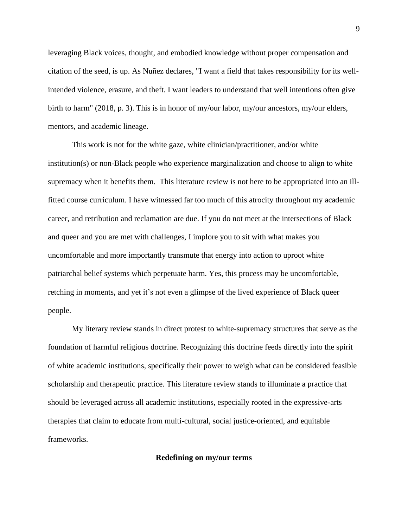leveraging Black voices, thought, and embodied knowledge without proper compensation and citation of the seed, is up. As Nuñez declares, "I want a field that takes responsibility for its wellintended violence, erasure, and theft. I want leaders to understand that well intentions often give birth to harm" (2018, p. 3). This is in honor of my/our labor, my/our ancestors, my/our elders, mentors, and academic lineage.

This work is not for the white gaze, white clinician/practitioner, and/or white institution(s) or non-Black people who experience marginalization and choose to align to white supremacy when it benefits them. This literature review is not here to be appropriated into an illfitted course curriculum. I have witnessed far too much of this atrocity throughout my academic career, and retribution and reclamation are due. If you do not meet at the intersections of Black and queer and you are met with challenges, I implore you to sit with what makes you uncomfortable and more importantly transmute that energy into action to uproot white patriarchal belief systems which perpetuate harm. Yes, this process may be uncomfortable, retching in moments, and yet it's not even a glimpse of the lived experience of Black queer people.

My literary review stands in direct protest to white-supremacy structures that serve as the foundation of harmful religious doctrine. Recognizing this doctrine feeds directly into the spirit of white academic institutions, specifically their power to weigh what can be considered feasible scholarship and therapeutic practice. This literature review stands to illuminate a practice that should be leveraged across all academic institutions, especially rooted in the expressive-arts therapies that claim to educate from multi-cultural, social justice-oriented, and equitable frameworks.

### **Redefining on my/our terms**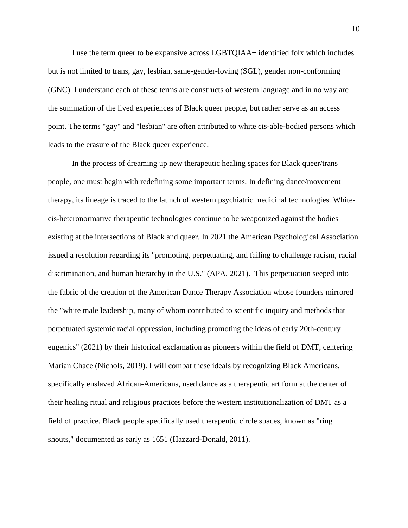I use the term queer to be expansive across LGBTQIAA+ identified folx which includes but is not limited to trans, gay, lesbian, same-gender-loving (SGL), gender non-conforming (GNC). I understand each of these terms are constructs of western language and in no way are the summation of the lived experiences of Black queer people, but rather serve as an access point. The terms "gay" and "lesbian" are often attributed to white cis-able-bodied persons which leads to the erasure of the Black queer experience.

In the process of dreaming up new therapeutic healing spaces for Black queer/trans people, one must begin with redefining some important terms. In defining dance/movement therapy, its lineage is traced to the launch of western psychiatric medicinal technologies. Whitecis-heteronormative therapeutic technologies continue to be weaponized against the bodies existing at the intersections of Black and queer. In 2021 the American Psychological Association issued a resolution regarding its "promoting, perpetuating, and failing to challenge racism, racial discrimination, and human hierarchy in the U.S." (APA, 2021). This perpetuation seeped into the fabric of the creation of the American Dance Therapy Association whose founders mirrored the "white male leadership, many of whom contributed to scientific inquiry and methods that perpetuated systemic racial oppression, including promoting the ideas of early 20th-century eugenics" (2021) by their historical exclamation as pioneers within the field of DMT, centering Marian Chace (Nichols, 2019). I will combat these ideals by recognizing Black Americans, specifically enslaved African-Americans, used dance as a therapeutic art form at the center of their healing ritual and religious practices before the western institutionalization of DMT as a field of practice. Black people specifically used therapeutic circle spaces, known as "ring shouts," documented as early as 1651 (Hazzard-Donald, 2011).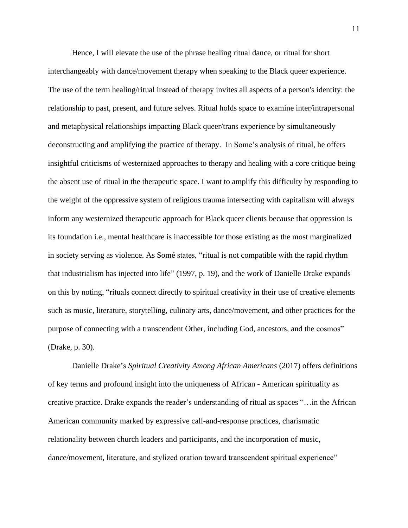Hence, I will elevate the use of the phrase healing ritual dance, or ritual for short interchangeably with dance/movement therapy when speaking to the Black queer experience. The use of the term healing/ritual instead of therapy invites all aspects of a person's identity: the relationship to past, present, and future selves. Ritual holds space to examine inter/intrapersonal and metaphysical relationships impacting Black queer/trans experience by simultaneously deconstructing and amplifying the practice of therapy. In Some's analysis of ritual, he offers insightful criticisms of westernized approaches to therapy and healing with a core critique being the absent use of ritual in the therapeutic space. I want to amplify this difficulty by responding to the weight of the oppressive system of religious trauma intersecting with capitalism will always inform any westernized therapeutic approach for Black queer clients because that oppression is its foundation i.e., mental healthcare is inaccessible for those existing as the most marginalized in society serving as violence. As Somé states, "ritual is not compatible with the rapid rhythm that industrialism has injected into life" (1997, p. 19), and the work of Danielle Drake expands on this by noting, "rituals connect directly to spiritual creativity in their use of creative elements such as music, literature, storytelling, culinary arts, dance/movement, and other practices for the purpose of connecting with a transcendent Other, including God, ancestors, and the cosmos" (Drake, p. 30).

Danielle Drake's *Spiritual Creativity Among African Americans* (2017) offers definitions of key terms and profound insight into the uniqueness of African - American spirituality as creative practice. Drake expands the reader's understanding of ritual as spaces "…in the African American community marked by expressive call-and-response practices, charismatic relationality between church leaders and participants, and the incorporation of music, dance/movement, literature, and stylized oration toward transcendent spiritual experience"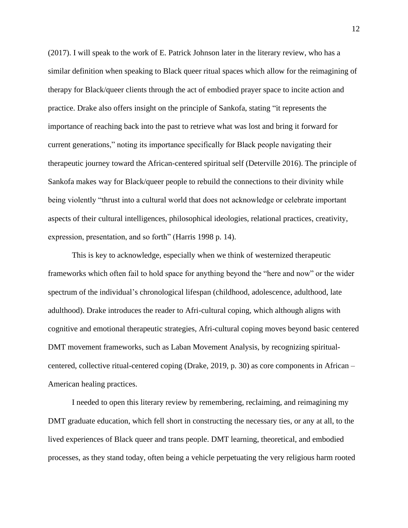(2017). I will speak to the work of E. Patrick Johnson later in the literary review, who has a similar definition when speaking to Black queer ritual spaces which allow for the reimagining of therapy for Black/queer clients through the act of embodied prayer space to incite action and practice. Drake also offers insight on the principle of Sankofa, stating "it represents the importance of reaching back into the past to retrieve what was lost and bring it forward for current generations," noting its importance specifically for Black people navigating their therapeutic journey toward the African-centered spiritual self (Deterville 2016). The principle of Sankofa makes way for Black/queer people to rebuild the connections to their divinity while being violently "thrust into a cultural world that does not acknowledge or celebrate important aspects of their cultural intelligences, philosophical ideologies, relational practices, creativity, expression, presentation, and so forth" (Harris 1998 p. 14).

This is key to acknowledge, especially when we think of westernized therapeutic frameworks which often fail to hold space for anything beyond the "here and now" or the wider spectrum of the individual's chronological lifespan (childhood, adolescence, adulthood, late adulthood). Drake introduces the reader to Afri-cultural coping, which although aligns with cognitive and emotional therapeutic strategies, Afri-cultural coping moves beyond basic centered DMT movement frameworks, such as Laban Movement Analysis, by recognizing spiritualcentered, collective ritual-centered coping (Drake, 2019, p. 30) as core components in African – American healing practices.

I needed to open this literary review by remembering, reclaiming, and reimagining my DMT graduate education, which fell short in constructing the necessary ties, or any at all, to the lived experiences of Black queer and trans people. DMT learning, theoretical, and embodied processes, as they stand today, often being a vehicle perpetuating the very religious harm rooted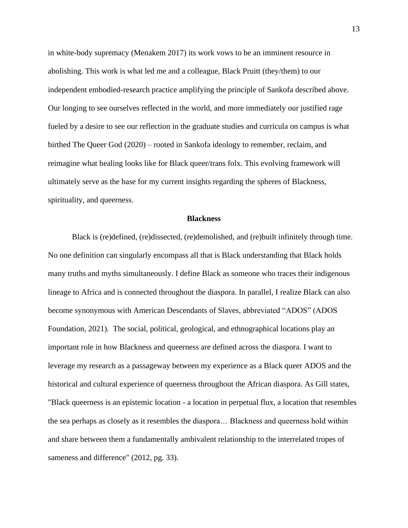in white-body supremacy (Menakem 2017) its work vows to be an imminent resource in abolishing. This work is what led me and a colleague, Black Pruitt (they/them) to our independent embodied-research practice amplifying the principle of Sankofa described above. Our longing to see ourselves reflected in the world, and more immediately our justified rage fueled by a desire to see our reflection in the graduate studies and curricula on campus is what birthed The Queer God (2020) – rooted in Sankofa ideology to remember, reclaim, and reimagine what healing looks like for Black queer/trans folx. This evolving framework will ultimately serve as the base for my current insights regarding the spheres of Blackness, spirituality, and queerness.

#### **Blackness**

Black is (re)defined, (re)dissected, (re)demolished, and (re)built infinitely through time. No one definition can singularly encompass all that is Black understanding that Black holds many truths and myths simultaneously. I define Black as someone who traces their indigenous lineage to Africa and is connected throughout the diaspora. In parallel, I realize Black can also become synonymous with American Descendants of Slaves, abbreviated "ADOS" (ADOS Foundation, 2021). The social, political, geological, and ethnographical locations play an important role in how Blackness and queerness are defined across the diaspora. I want to leverage my research as a passageway between my experience as a Black queer ADOS and the historical and cultural experience of queerness throughout the African diaspora. As Gill states, "Black queerness is an epistemic location - a location in perpetual flux, a location that resembles the sea perhaps as closely as it resembles the diaspora… Blackness and queerness hold within and share between them a fundamentally ambivalent relationship to the interrelated tropes of sameness and difference" (2012, pg. 33).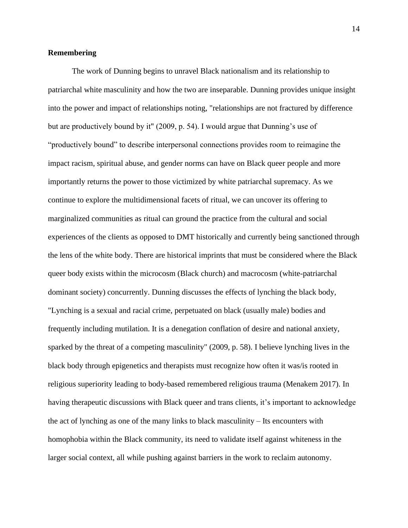## **Remembering**

The work of Dunning begins to unravel Black nationalism and its relationship to patriarchal white masculinity and how the two are inseparable. Dunning provides unique insight into the power and impact of relationships noting, "relationships are not fractured by difference but are productively bound by it" (2009, p. 54). I would argue that Dunning's use of "productively bound" to describe interpersonal connections provides room to reimagine the impact racism, spiritual abuse, and gender norms can have on Black queer people and more importantly returns the power to those victimized by white patriarchal supremacy. As we continue to explore the multidimensional facets of ritual, we can uncover its offering to marginalized communities as ritual can ground the practice from the cultural and social experiences of the clients as opposed to DMT historically and currently being sanctioned through the lens of the white body. There are historical imprints that must be considered where the Black queer body exists within the microcosm (Black church) and macrocosm (white-patriarchal dominant society) concurrently. Dunning discusses the effects of lynching the black body, "Lynching is a sexual and racial crime, perpetuated on black (usually male) bodies and frequently including mutilation. It is a denegation conflation of desire and national anxiety, sparked by the threat of a competing masculinity" (2009, p. 58). I believe lynching lives in the black body through epigenetics and therapists must recognize how often it was/is rooted in religious superiority leading to body-based remembered religious trauma (Menakem 2017). In having therapeutic discussions with Black queer and trans clients, it's important to acknowledge the act of lynching as one of the many links to black masculinity – Its encounters with homophobia within the Black community, its need to validate itself against whiteness in the larger social context, all while pushing against barriers in the work to reclaim autonomy.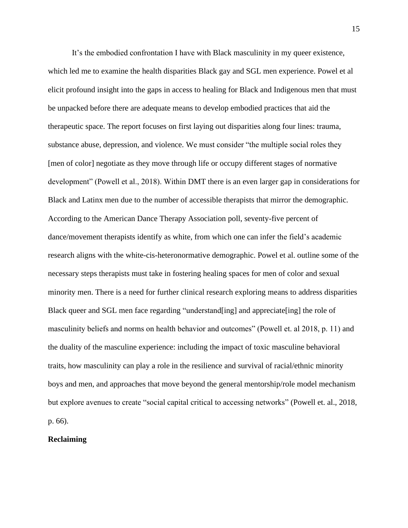It's the embodied confrontation I have with Black masculinity in my queer existence, which led me to examine the health disparities Black gay and SGL men experience. Powel et al elicit profound insight into the gaps in access to healing for Black and Indigenous men that must be unpacked before there are adequate means to develop embodied practices that aid the therapeutic space. The report focuses on first laying out disparities along four lines: trauma, substance abuse, depression, and violence. We must consider "the multiple social roles they [men of color] negotiate as they move through life or occupy different stages of normative development" (Powell et al., 2018). Within DMT there is an even larger gap in considerations for Black and Latinx men due to the number of accessible therapists that mirror the demographic. According to the American Dance Therapy Association poll, seventy-five percent of dance/movement therapists identify as white, from which one can infer the field's academic research aligns with the white-cis-heteronormative demographic. Powel et al. outline some of the necessary steps therapists must take in fostering healing spaces for men of color and sexual minority men. There is a need for further clinical research exploring means to address disparities Black queer and SGL men face regarding "understand [ing] and appreciate [ing] the role of masculinity beliefs and norms on health behavior and outcomes" (Powell et. al 2018, p. 11) and the duality of the masculine experience: including the impact of toxic masculine behavioral traits, how masculinity can play a role in the resilience and survival of racial/ethnic minority boys and men, and approaches that move beyond the general mentorship/role model mechanism but explore avenues to create "social capital critical to accessing networks" (Powell et. al., 2018, p. 66).

## **Reclaiming**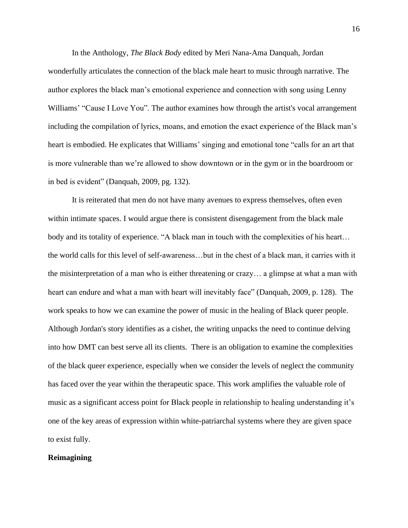In the Anthology, *The Black Body* edited by Meri Nana-Ama Danquah*,* Jordan wonderfully articulates the connection of the black male heart to music through narrative. The author explores the black man's emotional experience and connection with song using Lenny Williams' "Cause I Love You". The author examines how through the artist's vocal arrangement including the compilation of lyrics, moans, and emotion the exact experience of the Black man's heart is embodied. He explicates that Williams' singing and emotional tone "calls for an art that is more vulnerable than we're allowed to show downtown or in the gym or in the boardroom or in bed is evident" (Danquah, 2009, pg. 132).

It is reiterated that men do not have many avenues to express themselves, often even within intimate spaces. I would argue there is consistent disengagement from the black male body and its totality of experience. "A black man in touch with the complexities of his heart... the world calls for this level of self-awareness…but in the chest of a black man, it carries with it the misinterpretation of a man who is either threatening or crazy… a glimpse at what a man with heart can endure and what a man with heart will inevitably face" (Danquah, 2009, p. 128). The work speaks to how we can examine the power of music in the healing of Black queer people. Although Jordan's story identifies as a cishet, the writing unpacks the need to continue delving into how DMT can best serve all its clients. There is an obligation to examine the complexities of the black queer experience, especially when we consider the levels of neglect the community has faced over the year within the therapeutic space. This work amplifies the valuable role of music as a significant access point for Black people in relationship to healing understanding it's one of the key areas of expression within white-patriarchal systems where they are given space to exist fully.

## **Reimagining**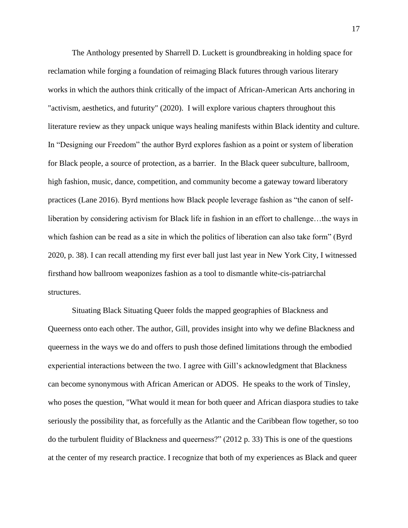The Anthology presented by Sharrell D. Luckett is groundbreaking in holding space for reclamation while forging a foundation of reimaging Black futures through various literary works in which the authors think critically of the impact of African-American Arts anchoring in "activism, aesthetics, and futurity" (2020). I will explore various chapters throughout this literature review as they unpack unique ways healing manifests within Black identity and culture. In "Designing our Freedom" the author Byrd explores fashion as a point or system of liberation for Black people, a source of protection, as a barrier. In the Black queer subculture, ballroom, high fashion, music, dance, competition, and community become a gateway toward liberatory practices (Lane 2016). Byrd mentions how Black people leverage fashion as "the canon of selfliberation by considering activism for Black life in fashion in an effort to challenge…the ways in which fashion can be read as a site in which the politics of liberation can also take form" (Byrd 2020, p. 38). I can recall attending my first ever ball just last year in New York City, I witnessed firsthand how ballroom weaponizes fashion as a tool to dismantle white-cis-patriarchal structures.

Situating Black Situating Queer folds the mapped geographies of Blackness and Queerness onto each other. The author, Gill, provides insight into why we define Blackness and queerness in the ways we do and offers to push those defined limitations through the embodied experiential interactions between the two. I agree with Gill's acknowledgment that Blackness can become synonymous with African American or ADOS. He speaks to the work of Tinsley, who poses the question, "What would it mean for both queer and African diaspora studies to take seriously the possibility that, as forcefully as the Atlantic and the Caribbean flow together, so too do the turbulent fluidity of Blackness and queerness?" (2012 p. 33) This is one of the questions at the center of my research practice. I recognize that both of my experiences as Black and queer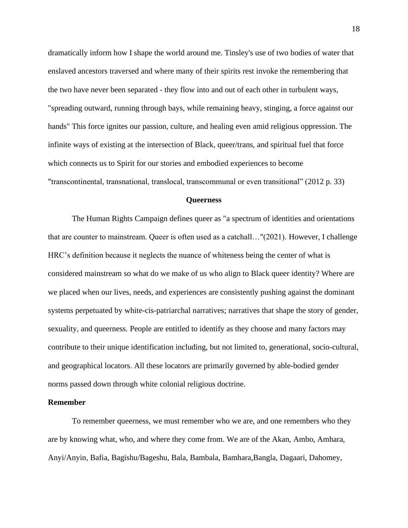dramatically inform how I shape the world around me. Tinsley's use of two bodies of water that enslaved ancestors traversed and where many of their spirits rest invoke the remembering that the two have never been separated - they flow into and out of each other in turbulent ways, "spreading outward, running through bays, while remaining heavy, stinging, a force against our hands" This force ignites our passion, culture, and healing even amid religious oppression. The infinite ways of existing at the intersection of Black, queer/trans, and spiritual fuel that force which connects us to Spirit for our stories and embodied experiences to become "transcontinental, transnational, translocal, transcommunal or even transitional" (2012 p. 33)

#### **Queerness**

The Human Rights Campaign defines queer as "a spectrum of identities and orientations that are counter to mainstream. Queer is often used as a catchall…"(2021). However, I challenge HRC's definition because it neglects the nuance of whiteness being the center of what is considered mainstream so what do we make of us who align to Black queer identity? Where are we placed when our lives, needs, and experiences are consistently pushing against the dominant systems perpetuated by white-cis-patriarchal narratives; narratives that shape the story of gender, sexuality, and queerness. People are entitled to identify as they choose and many factors may contribute to their unique identification including, but not limited to, generational, socio-cultural, and geographical locators. All these locators are primarily governed by able-bodied gender norms passed down through white colonial religious doctrine.

#### **Remember**

To remember queerness, we must remember who we are, and one remembers who they are by knowing what, who, and where they come from. We are of the Akan, Ambo, Amhara, Anyi/Anyin, Bafia, Bagishu/Bageshu, Bala, Bambala, Bamhara,Bangla, Dagaari, Dahomey,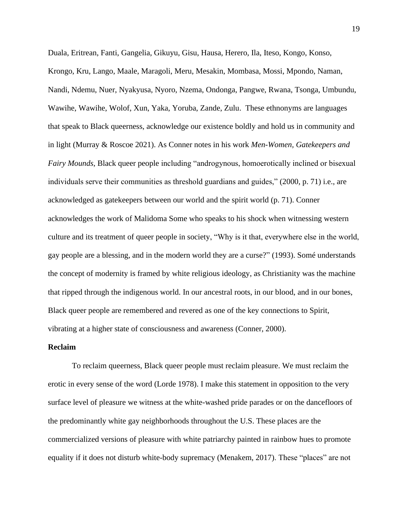Duala, Eritrean, Fanti, Gangelia, Gikuyu, Gisu, Hausa, Herero, Ila, Iteso, Kongo, Konso, Krongo, Kru, Lango, Maale, Maragoli, Meru, Mesakin, Mombasa, Mossi, Mpondo, Naman, Nandi, Ndemu, Nuer, Nyakyusa, Nyoro, Nzema, Ondonga, Pangwe, Rwana, Tsonga, Umbundu, Wawihe, Wawihe, Wolof, Xun, Yaka, Yoruba, Zande, Zulu. These ethnonyms are languages that speak to Black queerness, acknowledge our existence boldly and hold us in community and in light (Murray & Roscoe 2021). As Conner notes in his work *Men-Women, Gatekeepers and Fairy Mounds*, Black queer people including "androgynous, homoerotically inclined or bisexual individuals serve their communities as threshold guardians and guides," (2000, p. 71) i.e., are acknowledged as gatekeepers between our world and the spirit world (p. 71). Conner acknowledges the work of Malidoma Some who speaks to his shock when witnessing western culture and its treatment of queer people in society, "Why is it that, everywhere else in the world, gay people are a blessing, and in the modern world they are a curse?" (1993). Somé understands the concept of modernity is framed by white religious ideology, as Christianity was the machine that ripped through the indigenous world. In our ancestral roots, in our blood, and in our bones, Black queer people are remembered and revered as one of the key connections to Spirit, vibrating at a higher state of consciousness and awareness (Conner, 2000).

#### **Reclaim**

To reclaim queerness, Black queer people must reclaim pleasure. We must reclaim the erotic in every sense of the word (Lorde 1978). I make this statement in opposition to the very surface level of pleasure we witness at the white-washed pride parades or on the dancefloors of the predominantly white gay neighborhoods throughout the U.S. These places are the commercialized versions of pleasure with white patriarchy painted in rainbow hues to promote equality if it does not disturb white-body supremacy (Menakem, 2017). These "places" are not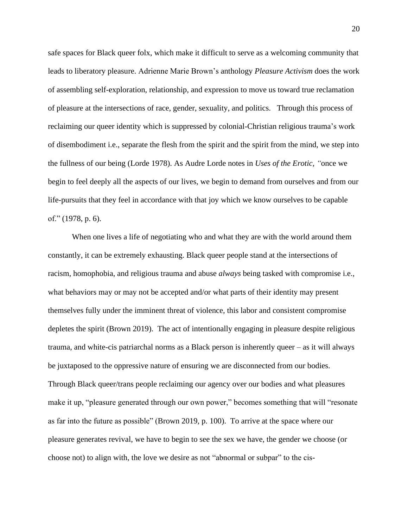safe spaces for Black queer folx, which make it difficult to serve as a welcoming community that leads to liberatory pleasure. Adrienne Marie Brown's anthology *Pleasure Activism* does the work of assembling self-exploration, relationship, and expression to move us toward true reclamation of pleasure at the intersections of race, gender, sexuality, and politics. Through this process of reclaiming our queer identity which is suppressed by colonial-Christian religious trauma's work of disembodiment i.e., separate the flesh from the spirit and the spirit from the mind, we step into the fullness of our being (Lorde 1978). As Audre Lorde notes in *Uses of the Erotic, "*once we begin to feel deeply all the aspects of our lives, we begin to demand from ourselves and from our life-pursuits that they feel in accordance with that joy which we know ourselves to be capable of." (1978, p. 6).

When one lives a life of negotiating who and what they are with the world around them constantly, it can be extremely exhausting. Black queer people stand at the intersections of racism, homophobia, and religious trauma and abuse *always* being tasked with compromise i.e., what behaviors may or may not be accepted and/or what parts of their identity may present themselves fully under the imminent threat of violence, this labor and consistent compromise depletes the spirit (Brown 2019). The act of intentionally engaging in pleasure despite religious trauma, and white-cis patriarchal norms as a Black person is inherently queer – as it will always be juxtaposed to the oppressive nature of ensuring we are disconnected from our bodies. Through Black queer/trans people reclaiming our agency over our bodies and what pleasures make it up, "pleasure generated through our own power," becomes something that will "resonate as far into the future as possible" (Brown 2019, p. 100). To arrive at the space where our pleasure generates revival, we have to begin to see the sex we have, the gender we choose (or choose not) to align with, the love we desire as not "abnormal or subpar" to the cis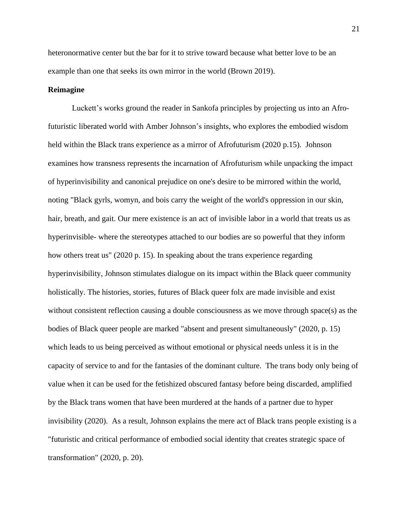heteronormative center but the bar for it to strive toward because what better love to be an example than one that seeks its own mirror in the world (Brown 2019).

#### **Reimagine**

Luckett's works ground the reader in Sankofa principles by projecting us into an Afrofuturistic liberated world with Amber Johnson's insights, who explores the embodied wisdom held within the Black trans experience as a mirror of Afrofuturism (2020 p.15). Johnson examines how transness represents the incarnation of Afrofuturism while unpacking the impact of hyperinvisibility and canonical prejudice on one's desire to be mirrored within the world, noting "Black gyrls, womyn, and bois carry the weight of the world's oppression in our skin, hair, breath, and gait. Our mere existence is an act of invisible labor in a world that treats us as hyperinvisible- where the stereotypes attached to our bodies are so powerful that they inform how others treat us" (2020 p. 15). In speaking about the trans experience regarding hyperinvisibility, Johnson stimulates dialogue on its impact within the Black queer community holistically. The histories, stories, futures of Black queer folx are made invisible and exist without consistent reflection causing a double consciousness as we move through space(s) as the bodies of Black queer people are marked "absent and present simultaneously" (2020, p. 15) which leads to us being perceived as without emotional or physical needs unless it is in the capacity of service to and for the fantasies of the dominant culture. The trans body only being of value when it can be used for the fetishized obscured fantasy before being discarded, amplified by the Black trans women that have been murdered at the hands of a partner due to hyper invisibility (2020). As a result, Johnson explains the mere act of Black trans people existing is a "futuristic and critical performance of embodied social identity that creates strategic space of transformation" (2020, p. 20).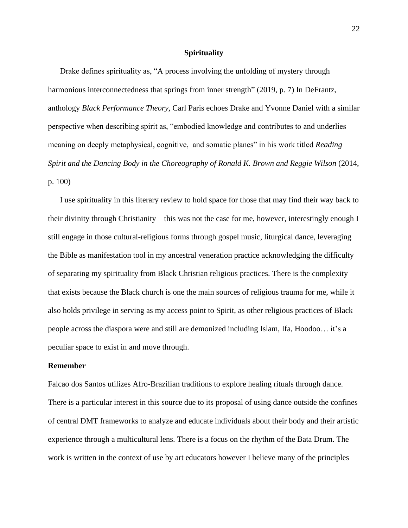## **Spirituality**

Drake defines spirituality as, "A process involving the unfolding of mystery through harmonious interconnectedness that springs from inner strength" (2019, p. 7) In DeFrantz, anthology *Black Performance Theory,* Carl Paris echoes Drake and Yvonne Daniel with a similar perspective when describing spirit as, "embodied knowledge and contributes to and underlies meaning on deeply metaphysical, cognitive, and somatic planes" in his work titled *Reading Spirit and the Dancing Body in the Choreography of Ronald K. Brown and Reggie Wilson (2014,* p. 100)

I use spirituality in this literary review to hold space for those that may find their way back to their divinity through Christianity – this was not the case for me, however, interestingly enough I still engage in those cultural-religious forms through gospel music, liturgical dance, leveraging the Bible as manifestation tool in my ancestral veneration practice acknowledging the difficulty of separating my spirituality from Black Christian religious practices. There is the complexity that exists because the Black church is one the main sources of religious trauma for me, while it also holds privilege in serving as my access point to Spirit, as other religious practices of Black people across the diaspora were and still are demonized including Islam, Ifa, Hoodoo… it's a peculiar space to exist in and move through.

#### **Remember**

Falcao dos Santos utilizes Afro-Brazilian traditions to explore healing rituals through dance. There is a particular interest in this source due to its proposal of using dance outside the confines of central DMT frameworks to analyze and educate individuals about their body and their artistic experience through a multicultural lens. There is a focus on the rhythm of the Bata Drum. The work is written in the context of use by art educators however I believe many of the principles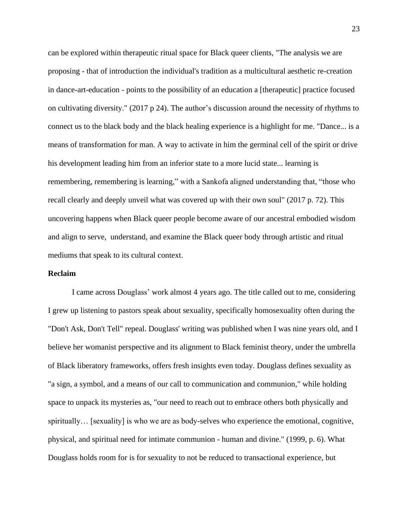can be explored within therapeutic ritual space for Black queer clients, "The analysis we are proposing - that of introduction the individual's tradition as a multicultural aesthetic re-creation in dance-art-education - points to the possibility of an education a [therapeutic] practice focused on cultivating diversity." (2017 p 24). The author's discussion around the necessity of rhythms to connect us to the black body and the black healing experience is a highlight for me. "Dance... is a means of transformation for man. A way to activate in him the germinal cell of the spirit or drive his development leading him from an inferior state to a more lucid state... learning is remembering, remembering is learning," with a Sankofa aligned understanding that, "those who recall clearly and deeply unveil what was covered up with their own soul" (2017 p. 72). This uncovering happens when Black queer people become aware of our ancestral embodied wisdom and align to serve, understand, and examine the Black queer body through artistic and ritual mediums that speak to its cultural context.

### **Reclaim**

I came across Douglass' work almost 4 years ago. The title called out to me, considering I grew up listening to pastors speak about sexuality, specifically homosexuality often during the "Don't Ask, Don't Tell" repeal. Douglass' writing was published when I was nine years old, and I believe her womanist perspective and its alignment to Black feminist theory, under the umbrella of Black liberatory frameworks, offers fresh insights even today. Douglass defines sexuality as "a sign, a symbol, and a means of our call to communication and communion," while holding space to unpack its mysteries as, "our need to reach out to embrace others both physically and spiritually... [sexuality] is who we are as body-selves who experience the emotional, cognitive, physical, and spiritual need for intimate communion - human and divine." (1999, p. 6). What Douglass holds room for is for sexuality to not be reduced to transactional experience, but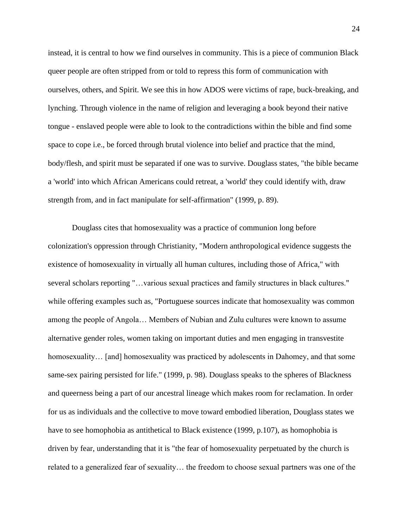instead, it is central to how we find ourselves in community. This is a piece of communion Black queer people are often stripped from or told to repress this form of communication with ourselves, others, and Spirit. We see this in how ADOS were victims of rape, buck-breaking, and lynching. Through violence in the name of religion and leveraging a book beyond their native tongue - enslaved people were able to look to the contradictions within the bible and find some space to cope i.e., be forced through brutal violence into belief and practice that the mind, body/flesh, and spirit must be separated if one was to survive. Douglass states, "the bible became a 'world' into which African Americans could retreat, a 'world' they could identify with, draw strength from, and in fact manipulate for self-affirmation" (1999, p. 89).

Douglass cites that homosexuality was a practice of communion long before colonization's oppression through Christianity, "Modern anthropological evidence suggests the existence of homosexuality in virtually all human cultures, including those of Africa," with several scholars reporting "…various sexual practices and family structures in black cultures." while offering examples such as, "Portuguese sources indicate that homosexuality was common among the people of Angola… Members of Nubian and Zulu cultures were known to assume alternative gender roles, women taking on important duties and men engaging in transvestite homosexuality... [and] homosexuality was practiced by adolescents in Dahomey, and that some same-sex pairing persisted for life." (1999, p. 98). Douglass speaks to the spheres of Blackness and queerness being a part of our ancestral lineage which makes room for reclamation. In order for us as individuals and the collective to move toward embodied liberation, Douglass states we have to see homophobia as antithetical to Black existence (1999, p.107), as homophobia is driven by fear, understanding that it is "the fear of homosexuality perpetuated by the church is related to a generalized fear of sexuality… the freedom to choose sexual partners was one of the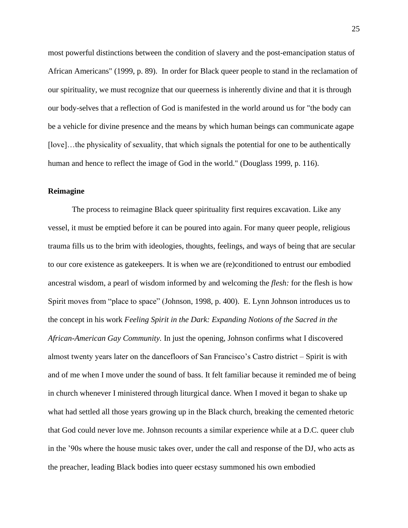most powerful distinctions between the condition of slavery and the post-emancipation status of African Americans" (1999, p. 89). In order for Black queer people to stand in the reclamation of our spirituality, we must recognize that our queerness is inherently divine and that it is through our body-selves that a reflection of God is manifested in the world around us for "the body can be a vehicle for divine presence and the means by which human beings can communicate agape [love]...the physicality of sexuality, that which signals the potential for one to be authentically human and hence to reflect the image of God in the world." (Douglass 1999, p. 116).

## **Reimagine**

The process to reimagine Black queer spirituality first requires excavation. Like any vessel, it must be emptied before it can be poured into again. For many queer people, religious trauma fills us to the brim with ideologies, thoughts, feelings, and ways of being that are secular to our core existence as gatekeepers. It is when we are (re)conditioned to entrust our embodied ancestral wisdom, a pearl of wisdom informed by and welcoming the *flesh:* for the flesh is how Spirit moves from "place to space" (Johnson, 1998, p. 400). E. Lynn Johnson introduces us to the concept in his work *Feeling Spirit in the Dark: Expanding Notions of the Sacred in the African-American Gay Community.* In just the opening, Johnson confirms what I discovered almost twenty years later on the dancefloors of San Francisco's Castro district – Spirit is with and of me when I move under the sound of bass. It felt familiar because it reminded me of being in church whenever I ministered through liturgical dance. When I moved it began to shake up what had settled all those years growing up in the Black church, breaking the cemented rhetoric that God could never love me. Johnson recounts a similar experience while at a D.C. queer club in the '90s where the house music takes over, under the call and response of the DJ, who acts as the preacher, leading Black bodies into queer ecstasy summoned his own embodied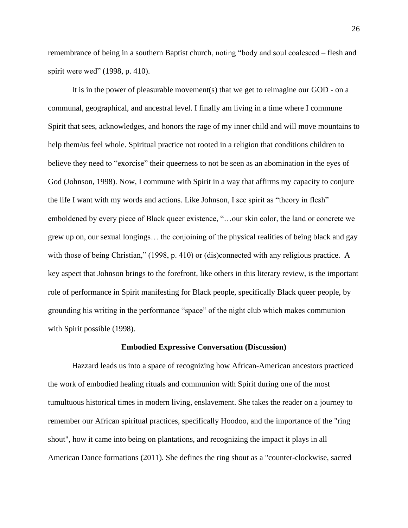remembrance of being in a southern Baptist church, noting "body and soul coalesced – flesh and spirit were wed" (1998, p. 410).

It is in the power of pleasurable movement(s) that we get to reimagine our GOD - on a communal, geographical, and ancestral level. I finally am living in a time where I commune Spirit that sees, acknowledges, and honors the rage of my inner child and will move mountains to help them/us feel whole. Spiritual practice not rooted in a religion that conditions children to believe they need to "exorcise" their queerness to not be seen as an abomination in the eyes of God (Johnson, 1998). Now, I commune with Spirit in a way that affirms my capacity to conjure the life I want with my words and actions. Like Johnson, I see spirit as "theory in flesh" emboldened by every piece of Black queer existence, "…our skin color, the land or concrete we grew up on, our sexual longings… the conjoining of the physical realities of being black and gay with those of being Christian," (1998, p. 410) or (dis)connected with any religious practice. A key aspect that Johnson brings to the forefront, like others in this literary review, is the important role of performance in Spirit manifesting for Black people, specifically Black queer people, by grounding his writing in the performance "space" of the night club which makes communion with Spirit possible (1998).

#### **Embodied Expressive Conversation (Discussion)**

Hazzard leads us into a space of recognizing how African-American ancestors practiced the work of embodied healing rituals and communion with Spirit during one of the most tumultuous historical times in modern living, enslavement. She takes the reader on a journey to remember our African spiritual practices, specifically Hoodoo, and the importance of the "ring shout", how it came into being on plantations, and recognizing the impact it plays in all American Dance formations (2011). She defines the ring shout as a "counter-clockwise, sacred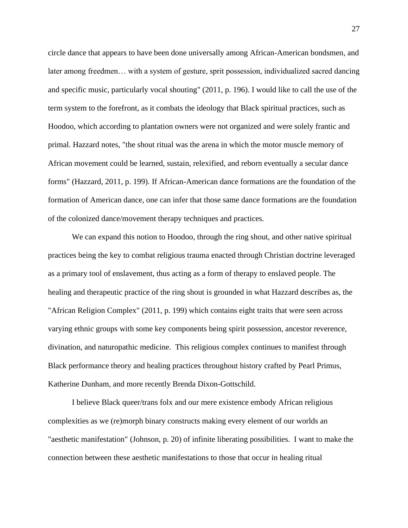circle dance that appears to have been done universally among African-American bondsmen, and later among freedmen… with a system of gesture, sprit possession, individualized sacred dancing and specific music, particularly vocal shouting" (2011, p. 196). I would like to call the use of the term system to the forefront, as it combats the ideology that Black spiritual practices, such as Hoodoo, which according to plantation owners were not organized and were solely frantic and primal. Hazzard notes, "the shout ritual was the arena in which the motor muscle memory of African movement could be learned, sustain, relexified, and reborn eventually a secular dance forms" (Hazzard, 2011, p. 199). If African-American dance formations are the foundation of the formation of American dance, one can infer that those same dance formations are the foundation of the colonized dance/movement therapy techniques and practices.

We can expand this notion to Hoodoo, through the ring shout, and other native spiritual practices being the key to combat religious trauma enacted through Christian doctrine leveraged as a primary tool of enslavement, thus acting as a form of therapy to enslaved people. The healing and therapeutic practice of the ring shout is grounded in what Hazzard describes as, the "African Religion Complex" (2011, p. 199) which contains eight traits that were seen across varying ethnic groups with some key components being spirit possession, ancestor reverence, divination, and naturopathic medicine. This religious complex continues to manifest through Black performance theory and healing practices throughout history crafted by Pearl Primus, Katherine Dunham, and more recently Brenda Dixon-Gottschild.

I believe Black queer/trans folx and our mere existence embody African religious complexities as we (re)morph binary constructs making every element of our worlds an "aesthetic manifestation" (Johnson, p. 20) of infinite liberating possibilities. I want to make the connection between these aesthetic manifestations to those that occur in healing ritual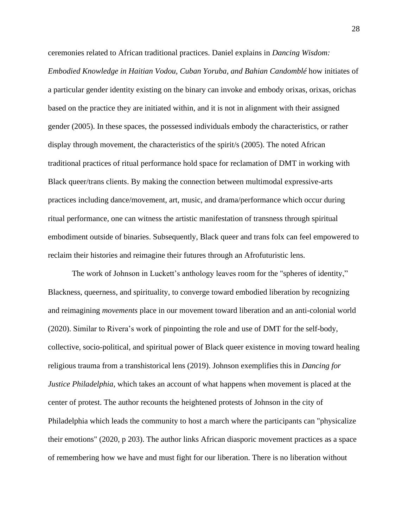ceremonies related to African traditional practices. Daniel explains in *Dancing Wisdom: Embodied Knowledge in Haitian Vodou, Cuban Yoruba, and Bahian Candomblé* how initiates of a particular gender identity existing on the binary can invoke and embody orixas, orixas, orichas based on the practice they are initiated within, and it is not in alignment with their assigned gender (2005). In these spaces, the possessed individuals embody the characteristics, or rather display through movement, the characteristics of the spirit/s (2005). The noted African traditional practices of ritual performance hold space for reclamation of DMT in working with Black queer/trans clients. By making the connection between multimodal expressive-arts practices including dance/movement, art, music, and drama/performance which occur during ritual performance, one can witness the artistic manifestation of transness through spiritual embodiment outside of binaries. Subsequently, Black queer and trans folx can feel empowered to reclaim their histories and reimagine their futures through an Afrofuturistic lens.

The work of Johnson in Luckett's anthology leaves room for the "spheres of identity," Blackness, queerness, and spirituality, to converge toward embodied liberation by recognizing and reimagining *movements* place in our movement toward liberation and an anti-colonial world (2020). Similar to Rivera's work of pinpointing the role and use of DMT for the self-body, collective, socio-political, and spiritual power of Black queer existence in moving toward healing religious trauma from a transhistorical lens (2019). Johnson exemplifies this in *Dancing for Justice Philadelphia*, which takes an account of what happens when movement is placed at the center of protest. The author recounts the heightened protests of Johnson in the city of Philadelphia which leads the community to host a march where the participants can "physicalize their emotions" (2020, p 203). The author links African diasporic movement practices as a space of remembering how we have and must fight for our liberation. There is no liberation without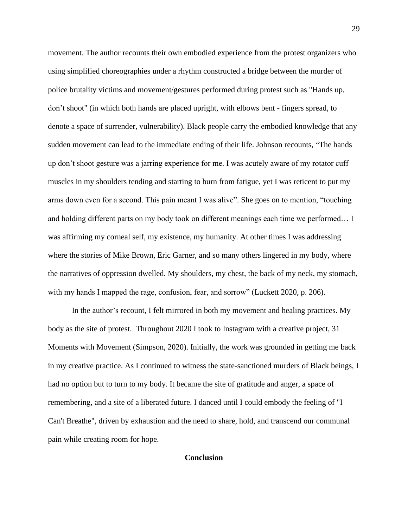movement. The author recounts their own embodied experience from the protest organizers who using simplified choreographies under a rhythm constructed a bridge between the murder of police brutality victims and movement/gestures performed during protest such as "Hands up, don't shoot" (in which both hands are placed upright, with elbows bent - fingers spread, to denote a space of surrender, vulnerability). Black people carry the embodied knowledge that any sudden movement can lead to the immediate ending of their life. Johnson recounts, "The hands up don't shoot gesture was a jarring experience for me. I was acutely aware of my rotator cuff muscles in my shoulders tending and starting to burn from fatigue, yet I was reticent to put my arms down even for a second. This pain meant I was alive". She goes on to mention, "touching and holding different parts on my body took on different meanings each time we performed… I was affirming my corneal self, my existence, my humanity. At other times I was addressing where the stories of Mike Brown, Eric Garner, and so many others lingered in my body, where the narratives of oppression dwelled. My shoulders, my chest, the back of my neck, my stomach, with my hands I mapped the rage, confusion, fear, and sorrow" (Luckett 2020, p. 206).

In the author's recount, I felt mirrored in both my movement and healing practices. My body as the site of protest. Throughout 2020 I took to Instagram with a creative project, 31 Moments with Movement (Simpson, 2020). Initially, the work was grounded in getting me back in my creative practice. As I continued to witness the state-sanctioned murders of Black beings, I had no option but to turn to my body. It became the site of gratitude and anger, a space of remembering, and a site of a liberated future. I danced until I could embody the feeling of "I Can't Breathe", driven by exhaustion and the need to share, hold, and transcend our communal pain while creating room for hope.

## **Conclusion**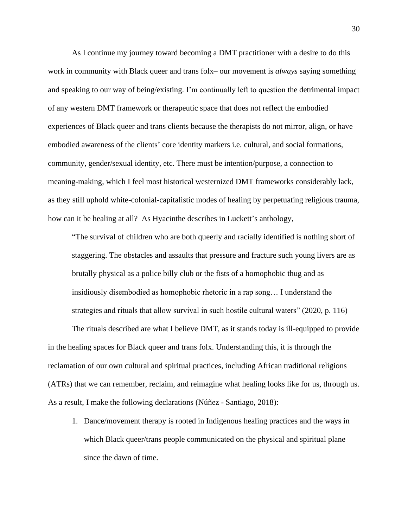As I continue my journey toward becoming a DMT practitioner with a desire to do this work in community with Black queer and trans folx– our movement is *always* saying something and speaking to our way of being/existing. I'm continually left to question the detrimental impact of any western DMT framework or therapeutic space that does not reflect the embodied experiences of Black queer and trans clients because the therapists do not mirror, align, or have embodied awareness of the clients' core identity markers i.e. cultural, and social formations, community, gender/sexual identity, etc. There must be intention/purpose, a connection to meaning-making, which I feel most historical westernized DMT frameworks considerably lack, as they still uphold white-colonial-capitalistic modes of healing by perpetuating religious trauma, how can it be healing at all? As Hyacinthe describes in Luckett's anthology,

"The survival of children who are both queerly and racially identified is nothing short of staggering. The obstacles and assaults that pressure and fracture such young livers are as brutally physical as a police billy club or the fists of a homophobic thug and as insidiously disembodied as homophobic rhetoric in a rap song… I understand the strategies and rituals that allow survival in such hostile cultural waters" (2020, p. 116)

The rituals described are what I believe DMT, as it stands today is ill-equipped to provide in the healing spaces for Black queer and trans folx. Understanding this, it is through the reclamation of our own cultural and spiritual practices, including African traditional religions (ATRs) that we can remember, reclaim, and reimagine what healing looks like for us, through us. As a result, I make the following declarations (Núñez - Santiago, 2018):

1. Dance/movement therapy is rooted in Indigenous healing practices and the ways in which Black queer/trans people communicated on the physical and spiritual plane since the dawn of time.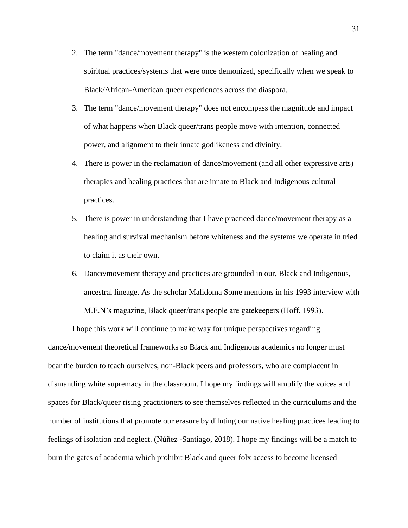- 2. The term "dance/movement therapy" is the western colonization of healing and spiritual practices/systems that were once demonized, specifically when we speak to Black/African-American queer experiences across the diaspora.
- 3. The term "dance/movement therapy" does not encompass the magnitude and impact of what happens when Black queer/trans people move with intention, connected power, and alignment to their innate godlikeness and divinity.
- 4. There is power in the reclamation of dance/movement (and all other expressive arts) therapies and healing practices that are innate to Black and Indigenous cultural practices.
- 5. There is power in understanding that I have practiced dance/movement therapy as a healing and survival mechanism before whiteness and the systems we operate in tried to claim it as their own.
- 6. Dance/movement therapy and practices are grounded in our, Black and Indigenous, ancestral lineage. As the scholar Malidoma Some mentions in his 1993 interview with M.E.N's magazine, Black queer/trans people are gatekeepers (Hoff, 1993).

I hope this work will continue to make way for unique perspectives regarding dance/movement theoretical frameworks so Black and Indigenous academics no longer must bear the burden to teach ourselves, non-Black peers and professors, who are complacent in dismantling white supremacy in the classroom. I hope my findings will amplify the voices and spaces for Black/queer rising practitioners to see themselves reflected in the curriculums and the number of institutions that promote our erasure by diluting our native healing practices leading to feelings of isolation and neglect. (Núñez -Santiago, 2018). I hope my findings will be a match to burn the gates of academia which prohibit Black and queer folx access to become licensed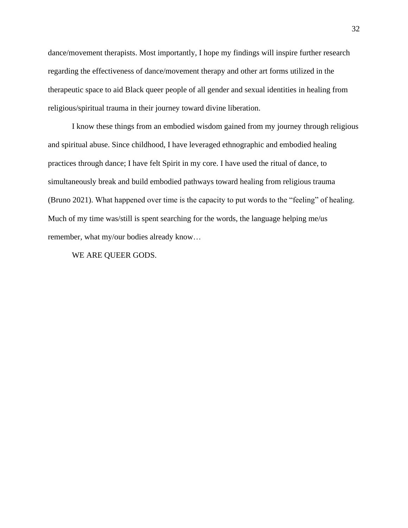dance/movement therapists. Most importantly, I hope my findings will inspire further research regarding the effectiveness of dance/movement therapy and other art forms utilized in the therapeutic space to aid Black queer people of all gender and sexual identities in healing from religious/spiritual trauma in their journey toward divine liberation.

I know these things from an embodied wisdom gained from my journey through religious and spiritual abuse. Since childhood, I have leveraged ethnographic and embodied healing practices through dance; I have felt Spirit in my core. I have used the ritual of dance, to simultaneously break and build embodied pathways toward healing from religious trauma (Bruno 2021). What happened over time is the capacity to put words to the "feeling" of healing. Much of my time was/still is spent searching for the words, the language helping me/us remember, what my/our bodies already know…

WE ARE QUEER GODS.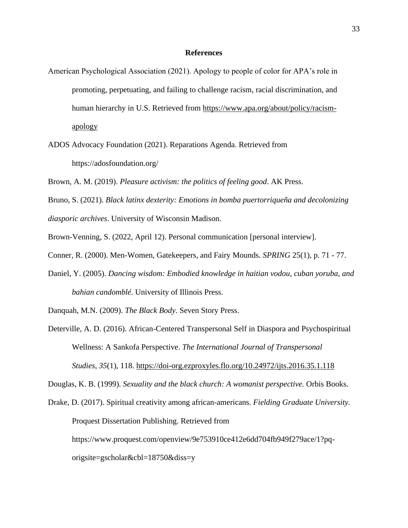### **References**

- American Psychological Association (2021). Apology to people of color for APA's role in promoting, perpetuating, and failing to challenge racism, racial discrimination, and human hierarchy in U.S. Retrieved from [https://www.apa.org/about/policy/racism](https://www.apa.org/about/policy/racism-apology)[apology](https://www.apa.org/about/policy/racism-apology)
- ADOS Advocacy Foundation (2021). Reparations Agenda. Retrieved from https://adosfoundation.org/
- Brown, A. M. (2019). *Pleasure activism: the politics of feeling good*. AK Press.
- Bruno, S. (2021). *Black latinx dexterity: Emotions in bomba puertorriqueña and decolonizing diasporic archives*. University of Wisconsin Madison.
- Brown-Venning, S. (2022, April 12). Personal communication [personal interview].
- Conner, R. (2000). Men-Women, Gatekeepers, and Fairy Mounds*. SPRING* 25(1), p. 71 77.
- Daniel, Y. (2005). *Dancing wisdom: Embodied knowledge in haitian vodou, cuban yoruba, and bahian candomblé.* University of Illinois Press.
- Danquah, M.N. (2009). *The Black Body*. Seven Story Press.
- Deterville, A. D. (2016). African-Centered Transpersonal Self in Diaspora and Psychospiritual Wellness: A Sankofa Perspective. *The International Journal of Transpersonal Studies*, *35*(1), 118.<https://doi-org.ezproxyles.flo.org/10.24972/ijts.2016.35.1.118>

Douglas, K. B. (1999). *Sexuality and the black church: A womanist perspective.* Orbis Books.

Drake, D. (2017). Spiritual creativity among african-americans. *Fielding Graduate University.* Proquest Dissertation Publishing. Retrieved from https://www.proquest.com/openview/9e753910ce412e6dd704fb949f279ace/1?pqorigsite=gscholar&cbl=18750&diss=y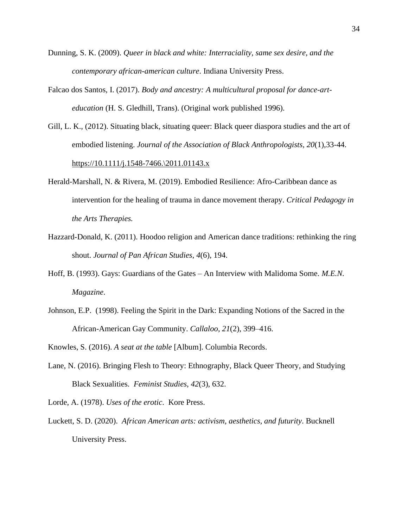- Dunning, S. K. (2009). *Queer in black and white: Interraciality, same sex desire, and the contemporary african-american culture*. Indiana University Press.
- Falcao dos Santos, I. (2017). *Body and ancestry: A multicultural proposal for dance-arteducation* (H. S. Gledhill, Trans). (Original work published 1996).
- Gill, L. K., (2012). Situating black, situating queer: Black queer diaspora studies and the art of embodied listening. *Journal of the Association of Black Anthropologists, 20*(1),33-44. [https://10.1111/j.1548-7466.\2011.01143.x](https://10.0.4.87/j.1548-7466./2011.01143.x)
- Herald-Marshall, N. & Rivera, M. (2019). Embodied Resilience: Afro-Caribbean dance as intervention for the healing of trauma in dance movement therapy. *Critical Pedagogy in the Arts Therapies.*
- Hazzard-Donald, K. (2011). Hoodoo religion and American dance traditions: rethinking the ring shout. *Journal of Pan African Studies*, *4*(6), 194.
- Hoff, B. (1993). Gays: Guardians of the Gates An Interview with Malidoma Some. *M.E.N. Magazine*.
- Johnson, E.P. (1998). Feeling the Spirit in the Dark: Expanding Notions of the Sacred in the African-American Gay Community. *Callaloo*, *21*(2), 399–416.
- Knowles, S. (2016). *A seat at the table* [Album]. Columbia Records.
- Lane, N. (2016). Bringing Flesh to Theory: Ethnography, Black Queer Theory, and Studying Black Sexualities. *Feminist Studies*, *42*(3), 632.
- Lorde, A. (1978). *Uses of the erotic*. Kore Press.
- Luckett, S. D. (2020). *African American arts: activism, aesthetics, and futurity*. Bucknell University Press.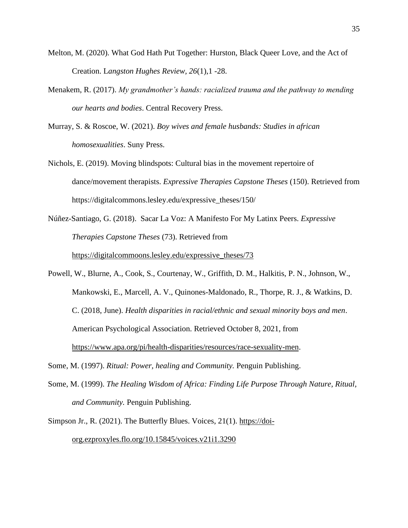- Melton, M. (2020). What God Hath Put Together: Hurston, Black Queer Love, and the Act of Creation. L*angston Hughes Review, 26*(1),1 -28.
- Menakem, R. (2017). *My grandmother's hands: racialized trauma and the pathway to mending our hearts and bodies*. Central Recovery Press.
- Murray, S. & Roscoe, W. (2021). *Boy wives and female husbands: Studies in african homosexualities*. Suny Press.
- Nichols, E. (2019). Moving blindspots: Cultural bias in the movement repertoire of dance/movement therapists. *Expressive Therapies Capstone Theses* (150). Retrieved from https://digitalcommons.lesley.edu/expressive\_theses/150/
- Núñez-Santiago, G. (2018). Sacar La Voz: A Manifesto For My Latinx Peers. *Expressive Therapies Capstone Theses* (73). Retrieved from [https://digitalcommoons.lesley.edu/expressive\\_theses/73](https://digitalcommoons.lesley.edu/expressive_theses/73)
- Powell, W., Blurne, A., Cook, S., Courtenay, W., Griffith, D. M., Halkitis, P. N., Johnson, W., Mankowski, E., Marcell, A. V., Quinones-Maldonado, R., Thorpe, R. J., & Watkins, D. C. (2018, June). *Health disparities in racial/ethnic and sexual minority boys and men*. American Psychological Association. Retrieved October 8, 2021, from [https://www.apa.org/pi/health-disparities/resources/race-sexuality-men.](https://www.apa.org/pi/health-disparities/resources/race-sexuality-men)
- Some, M. (1997). *Ritual: Power, healing and Community.* Penguin Publishing.
- Some, M. (1999). *The Healing Wisdom of Africa: Finding Life Purpose Through Nature, Ritual, and Community.* Penguin Publishing.
- Simpson Jr., R. (2021). The Butterfly Blues. Voices, 21(1). [https://doi](https://doi-org.ezproxyles.flo.org/10.15845/voices.v21i1.3290)[org.ezproxyles.flo.org/10.15845/voices.v21i1.3290](https://doi-org.ezproxyles.flo.org/10.15845/voices.v21i1.3290)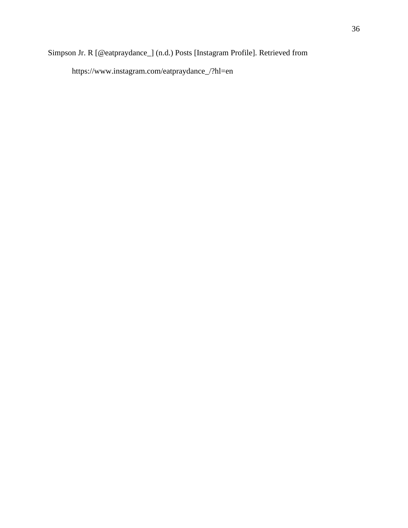## Simpson Jr. R [@eatpraydance\_] (n.d.) Posts [Instagram Profile]. Retrieved from

https://www.instagram.com/eatpraydance\_/?hl=en